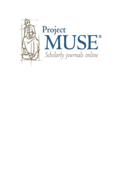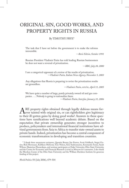# ORIGINAL SIN, GOOD WORKS, AND PROPERTY RIGHTS IN RUSSIA

# By TIMOTHY FRYE\*

The task that I have set before the government is to make the reforms irreversible.

*—Boris Yeltsin, October 1991*

Russian President Vladimir Putin has told leading Russian businessmen he does not want a reversal of privatization.

*—BBC, July 28, 2000*

I am a categorical opponent of a review of the results of privatization. *—Vladimir Putin, Italian News Agency, November 5, 2003*

Any allegations that Russia is preparing to revise the privatization results are groundless.

*—Vladimir Putin, RFE/RL, April 11, 2005*

We have quite a number of large, purely privately owned oil and gas companies. . . . Nobody is going to nationalize them. *—Vladimir Putin, Interfax, January 31, 2006*

ARE property rights obtained through legally dubious means for-<br>ever tainted with original sin, or can rightholders give legitimacy to their ill-gotten gains by doing good works? Answers to these questions have ramifications well beyond academic debate. Based on the expectation that private ownership generates stronger incentives to produce, policymakers and international financial institutions have advised governments from Asia to Africa to transfer state-owned assets to private hands. Indeed, privatization has become a central component of economic transformation in developing and transition countries.

\* I thank three anonymous reviewers, Quentin Beazer, Jim Fearon, Scott Gehlbach, Sergei Guriev, Rick Herrmann, Kathleen McGraw, Tom Nelson, Kira Sanbonmatsu, Konstantin Sonin, Sarah Wilson, Ekaterina Zhuravskaya, and seminar participants at Duke University, Ohio State University, and the Center for Economic and Financial Research (CEFIR) in Moscow for comments. I also thank the Mershon Center of the Ohio State University and the William Davidson Institute for generous funding of this project.

*World Politics* 58 (July 2006), 479–504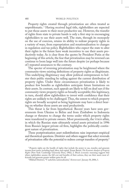Property rights created through privatization are often treated as unproblematic. <sup>1</sup> Having received legal title, rightholders are expected to put those assets to their most productive use. However, the transfer of rights from state to private hands is only a first step in encouraging rightholders to use their assets well. The state, through its monopoly on the use of coercion, retains its ability to redraw property rights in a variety of ways, from expropriation and renationalization to changes in regulation and tax policy. Rightholders who expect the state to alter their rights in the future have weak incentives to use their assets productively today. As is clear from the quotes by President Putin at the beginning of this article, the fear that privatization may be reversed can continue to loom large well into the future despite (or perhaps because of ) repeated assurances to the contrary.

The specter of reversing privatization may be heightened where the community views existing definitions of property rights as illegitimate. This underlying illegitimacy may allow political entrepreneurs to bolster their public standing by railing against the current distribution of property rights. Under these circumstances privatization is likely to produce few benefits as rightholders anticipate future limitations on their assets. In contrast, such appeals are likely to fall on deaf ears if the community views property rights as broadly acceptable; this legitimacy, in turn, should allow rightholders to invest with confidence that their rights are unlikely to be challenged. Thus, the extent to which property rights are broadly accepted as being legitimate may have a direct bearing on whether those assets are used productively.

This threat is far from hypothetical. Recent years have seen governments from Ukraine to Belize and from Zimbabwe to Indonesia change or threaten to change the terms under which property rights were transferred to private owners. Most prominently, the YUKOS affair, in which the Russian state ultimately seized assets privatized in 1996 from Russia's largest private oil firm, highlights the politically contingent nature of privatization.

These postprivatization asset redistributions raise important empirical and theoretical questions. Dmitriev and others suggest that select reversals of privatization offer the potential to redress corrupt transfers of property.2

<sup>&</sup>lt;sup>1</sup> Property rights are the bundle of rights that include the power to use, transfer, and generate income from assets, including land, labor, and capital. Yoram Barzel, *The Economic Analysis of Property Rights* (New York: Cambridge University Press, 1982), 2. Much economic reasoning suggests that where rightholders assume the full cost and benefits of their actions, they use their assets most efficiently and generate greater welfare gains for all.

<sup>2</sup> Mikhail Dmitriev, "V zashchitu natsionalizatsii," *Kommersant',* January 30, 2006, 1.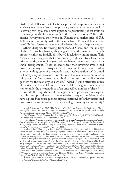Stiglitz and Hoff argue that illegitimate privatizations provide few gains in efficiency even where they do not produce great concentrations of wealth.<sup>3</sup> Following this logic, some have argued for reprivatizating select assets on economic grounds.<sup>4</sup> One may point to the reprivatization in 2005 of the massive Krvoryszhstal steel works in Ukraine at a market price of U.S. \$4.8 billion—previously sold to the son in-law of President Kuchma for one-fifth the price—as an economically defensible case of reprivatization.

Others disagree. Borrowing from Ronald Coase and the analogy of the U.S. robber barons, they suggest that the manner in which property rights are initially distributed is relatively unimportant. This "Coasian" view suggests that once property rights are transferred into private hands, economic agents will exchange them until they find a stable arrangement. These observers fear that reversing even a bad privatization may call into question all transfers of property and lead to a never-ending cycle of privatization and reprivatization. With a nod to Trotsky's cry of "permanent revolution," Hellman and Sonin refer to this process as "permanent redistribution" and warn of its dire consequences for the economy as a whole.<sup>5</sup> Indeed, Aslund attributes much of the steep decline in Ukrainian GDP in 2004 to the government's decision to undo the privatizations of an unspecified number of firms.<sup>6</sup>

Despite the importance of the legitimacy of privatization, surprisingly little empirical research has focused on the question. Many works have explored the consequences of privatization, but few have examined how property rights come to be seen as legitimate by a community.<sup>7</sup>

3 Joseph Stligitz and Karla Hoff, "The Creation of the Rule and Law and the Legitimacy of Property Rights: The Political and Economic Consequences of a Corrupt Privatization," NBER Working Papers, no. 11772 (Cambridge, Mass.: NBER, November 2005).

5 Joel Hellman, "Russia's Transition to a Market Economy: A Permanent Redistribution?" in Andrew C. Kuchins, ed., *Russia after the Fall* (Washington, D.C.: Carnegie Foundation for International Peace, 2002); Konstantin Sonin, "Why the Rich May Favor Poor Protection of Property Rights," *Journal of Comparative Economics* 31 (December 2003).

6 Anders Aslund, "Betraying a Revolution," *Washington Post*, May 18, 2005, A17. This debate centers on credible commitment. To encourage rightholders to use their assets well, states should commit to protect those rights. Yet because states are sovereign and retain the capacity to change policy at any time, making such a commitment is difficult. The minimization of the credible commitment problem is thought to have led to the growth of credit markets in England, the industrialization of Mexico, and, by one account, to the "rise of the Western world." See, respectively, Douglass North and Barry Weingast, "Constitutions and Commitment: The Evolution of Institutions Governing Public Choice in Seventeenth Century England," *Journal of Economic History* 59 (December 1989); Stephen Haber, Armando Razo, and Noel Maurer, *The Politics of Property Rights: Political Instability, Credible Commitments, and Economic Growth in Mexico, 1876–1929* (New York: Cambridge University Press, 2003); and Douglass C. North and Robert Paul Thomas, *The Rise of the Western World: A New Economic History* (New York: Cambridge University Press, 1973).

7 Simeon Djankov and Peter Murrell, "Enterprise Restructuring in Transition: A Quantitative Survey," *Journal of Economic Literature* 40 (September 2002).

<sup>4</sup> Lee Wolosky, "Putin's Plutocrat Problem," *Foreign Affairs* (March–April 2000); Andrei Bunich, *Osen' Oligarkhov* (Moscow: Yauza Publishing, 2006).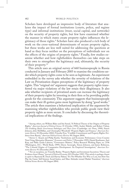Scholars have developed an impressive body of literature that analyzes the impact of formal institutions (courts, police, and regime type) and informal institutions (trust, social capital, and networks) on the security of property rights, but few have examined whether the manner in which states create property rights influences the legitimacy of those rights.8 Scholars have also produced a rich body of work on the cross-national determinants of secure property rights, but these works are less well suited for addressing the questions at hand as they focus neither on the perceptions of individuals nor on the effects of the origins of property rights.<sup>9</sup> Finally, few studies examine whether and how rightholders themselves can take steps on their own to strengthen the legitimacy and, ultimately, the security of their property.<sup>10</sup>

This article uses an original survey of 660 businesspeople in Russia conducted in January and February 2005 to examine the conditions under which property rights come to be seen as legitimate. An experiment embedded in the survey asks whether the severity of violations of the Law on Privatization shapes perceptions of the legitimacy of property rights. This "original sin" argument suggests that property rights transferred via major violations of the law retain their illegitimacy. It also asks whether recipients of privatized assets can increase the legitimacy of their property rights by investing in their firm or by providing public goods for the community. This argument suggests that businesspeople can make their ill-gotten gains more legitimate by doing "good works." The article then examines a behavioral implication of the argument by examining whether rightholders who provide public goods view their property rights as more secure. It concludes by discussing the theoretical implications of the findings.

8 Among others, see William Riker and Itai Sened, "A Political Theory of the Origins of Property Rights," *American Journal of Political Science* 35 (October 1990); Andrei Shleifer and Robert Vishny, *The Grabbing Hand: Government Pathologies and Their Cures* (Cambridge: MIT Press, 1998); Simon Johnson, John McMillan, and Christopher Woodruff, "Property Rights and Finance," *American Economic Review* 92 (December 2002); Timothy Frye, "Credible Commitment and Property Rights: Evidence from Russia," *American Political Science Review* 98 (August 2004).

9 Steven C. Knack and Philip Keefer, "Institutions and Economic Performance: Cross-Country Tests Using Alternative Measures," *Economics and Politics* 7 (November 1995); Daniel Kaufmann, Aart Kray, and Pablo Zoido-Laboton, "Governance Matters," Policy Research Working Paper, no. 2196 (Washington, D.C.: World Bank, 1999); Daron Acemoglu, Simon Johnson, and James Robinson, "The Colonial Origins of Comparative Development: An Empirical Investigation," *American Economic Review* 91 (December 2001).

<sup>10</sup> For an exception, see Timothy Besley, "Property Rights and Investment Incentives: Theory and Evidence from Ghana," *Journal of Political Economy* 103 (October 1995). This article is perhaps closest in spirit to Raymond R. Duch and Harvey Palmer, "It's Not Whether You Win or Lose, but How You Play the Game: Self-Interest, Social Justice, and Mass Attitudes toward Market Transition," *American Political Science Review* 98 (August 2004).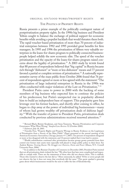#### THE POLITICS OF PROPERTY RIGHTS

Russia presents a prime example of the politically contingent nature of postprivatization property rights. In the 1990s big business and President Yeltsin sought to balance the exchange of political support for economic benefits while avoiding a populist backlash that would threaten them both. The rapid voucher-based privatization of more than 70 percent of industrial enterprises between 1992 and 1995 provided great benefits for firm managers. In 1995 and 1996 the privatization of fifteen very valuable enterprises in the loans-for-shares program to politically connected businesspeople helped solidify the new economic elite. The speed of the voucher privatization and the opacity of the loans-for-shares program raised concerns about the legality of privatization.<sup>11</sup> A 2003 study by ROMIR found that 88 percent of respondents believed that "big capital" in Russia became rich through "dishonest" or "more or less dishonest" means and 77 percent favored a partial or complete revision of privatization.<sup>12</sup> A nationally representative survey of the mass public from October 2006 found that 76 percent of respondents agreed or more or less agreed with the statement: "The privatization of large industrial enterprises in Russia in the 1990s was often conducted with major violations of the Law on Privatization." 13

President Putin came to power in 2000 with the backing of some members of big business who expected him to continue the policies of his predecessor, but Putin's unexpected rise in popularity allowed him to build an independent base of support. This popularity gave him leverage over his former backers, and shortly after coming to office, he began to chip away at the power of individual big businessmen—many of whom had grown wealthy off privatization deals of dubious legality.14 With the transfer of power to President Putin, privatization deals conducted by previous administrations received renewed attention.<sup>15</sup>

<sup>11</sup> Bernard Black, Reinier Kraakman, and Anna Tarassova, "Russian Privatization and Corporate Governance: What Went Wrong," *Stanford Law Review* 52 (October 2000).

<sup>12</sup> *Vedemosti*, July 18, 2003.

<sup>13</sup> Timothy Frye, "Property Rights and Property Wrongs in Russia: Evidence on the Legitimacy of Privatization from a Survey of the Mass Public" (Paper presented at the annual meeting of the American Economics Association, Chicago, January 4–7, 2007). Ten percent of respondents disagreed or more or less disagreed with the statement, and 14 percent replied that it was hard to answer.

<sup>14</sup> Wealth redistribution continued after privatization because groups grown powerful from their control over former state assets were especially well placed to shape public policy in their favor. See Andrew Barnes, *Owning Russia: The Struggle over Factories, Farms and Power* (Ithaca, N.Y.: Cornell University Press, 2006).

<sup>15</sup> In an address to the Russian Chamber of Commerce in December 2003, President Putin insisted that not all privatization deals violated the law: "We often hear that laws were complicated and impossible to comply with. These are the statements of those who did not observe them. This is rubbish. Those who wanted to observe the law did so." More ominously, he added: "If five or seven people did not observe the law it does not mean that everybody did the same." This quote sparked a guessing game about which businessmen would be the next to suffer the fate of Khodorkovsky.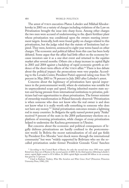The arrest of YUKOS executives Platon Lebedev and Mikhail Khodorkovsky in 2003 on a variety of charges including violations of the Law on Privatization brought the issue into sharp focus. Among other charges the two men were accused of underinvesting in the *Apatit* fertilizer plant whose privatization was conditional upon the owners meeting investment targets. Ironically, both were found guilty on charges related to this privatization, but the judge ruled that the statute of limitations had expired. They were, however, sentenced to eight-year terms based on other charges. The economic and political fallout from this case has been hotly debated. Some argue that the affair had little effect on the economy because investors saw it as a one-shot event and returned to the equities market after several months. Others cite a sharp increase in capital flight in 2003 and 2004 against a backdrop of rapid economic growth as evidence of the short-term effects of the YUKOS affair.<sup>16</sup> There is less debate about the political impact: the prosecutions were very popular. According to the Levada Center, President Putin's approval rating rose from 70 percent in May 2003 to 78 percent in July 2003 after Lebedev's arrest.

Concerns about the legitimacy of privatization have special importance in the postcommunist world, where de-etatization was notable for its unprecedented scope and speed. Having inherited massive state sectors and facing pressure from international institutions to privatize, politicians had vast opportunities to abuse privatization. The former minister of ownership transformation in Poland famously observed: "Privatization is when someone who does not know who the real owner is and does not know what it is really worth sells something to someone who does not have any money."17 Initial privatization outcomes remain a lightning rod in many countries. In Bulgaria the aptly named protest party "Ataka" received 9 percent of the seats in the 2004 parliamentary elections on a platform of reversing privatization, while charges of crony privatization helped to undermine the Kuchma government in Ukraine.

But concerns about the economic and political consequences of legally dubious privatizations are hardly confined to the postcommunist world. In Bolivia the recent nationalization of oil and gas fields by President Evo Morales "sent shock waves through the international community" but were "widely supported by Bolivians who see the socalled privatization under former President Gonzalo 'Goni' Sanchez

<sup>&</sup>lt;sup>16</sup> According to the Central Bank of Russia, for only the second time since 1992 more capital flowed into than out of Russia in the second quarter of 2003. In the third quarter, following Lebedev's arrest, capital flight soared to \$7.6 billion. In 2004 capital flight exceeded \$8 billion in an economy that grew by 7.1 percent.

<sup>17</sup> Cited in Kathryn Verdery, *What Was Socialism and What Comes Next?* (Princeton: Princeton University Press, 1996), 210.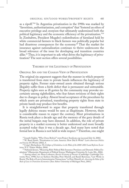as a ripoff."18 In Argentina privatization in the 1990s was marked by "favoritism, authoritarianism, and corruption" that "fostered an ethos of executive privilege and cronyism that ultimately undermined both the political legitimacy and the economic efficiency of the privatization."19 In Zimbabwe, President Mugabe's redistribution of farmland held by white commercial farmers to black farmers was politically popular but had disastrous consequences for the economy.<sup>20</sup> That the market for insurance against nationalization continues to thrive underscores the broad relevance of the issue for developing and transition countries alike.21 Thus, it is important to ask: what drives the legitimacy of privatization? The next section offers several possibilities.

# THEORIES OF THE LEGITIMACY OF PRIVATIZATION

## ORIGINAL SIN AND THE COASIAN VIEW OF PRIVATIZATION

The original sin argument suggests that the manner in which property is transferred from state to private hands influences the legitimacy of property rights. Former state-owned assets obtained through serious illegality suffer from a birth defect that is permanent and untreatable. Property rights seen as ill-gotten by the community may provoke uncertainty among rightholders, who fear future revisions of their rights due to changes in policy. Absent broad acceptance of the procedures by which assets are privatized, transferring property rights from state to private hands may produce few benefits.

It is straightforward to argue that property transferred through legally dubious means would be seen as illegitimate. However, there is considerable reason to expect the contrary. Most privatizations in Russia took place a decade ago and the memory of the gory details of the initial bargain may have dimmed. In addition, the role of private property in a market economy is better understood and more broadly accepted today than it was a decade ago. And many have noted that formal law in Russia is not held in wide respect.<sup>22</sup> Therefore, one might

<sup>18</sup> Josepth Stiglitz, "Who Owns Bolivia?" www.Project-Syndicate.org (accessed July 16, 2006).

<sup>19</sup> W. Rand Smith, "Privatization in Latin America: How Did It Work?" *Latin American Politics and Society* 44 (Winter 2002), 4.

<sup>20</sup> Craig J. Richardson, *The Collapse of Zimbabwe in the Wake of the 2000–2003 Land Reforms* (Lewiston, N.Y.: Edwin Mellen, 2004).

<sup>21</sup> Nathaniel Jensen, "Measuring Risk: Political Risk Insurance Premiums and Domestic Political Institutions" (Manuscript, Department of Political Science, Washington University, St. Louis, Mo., 2006).

<sup>22</sup> Among others, see Alena Ledeneva, *Russia's Economy of Favours* (Cambridge: Cambridge University Press, 1998); but see Kathryn Hendley, Peter Murrell, and Randi Ryterman, "Law Works in Russia: The Role of Law in Interenterprise Transactions," in Peter Murrell, ed., *Assessing the Value of the Rule of Law in Transition Economies* (Ann Arbor: University of Michigan Press, 2001).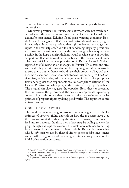expect violations of the Law on Privatization to be quickly forgotten and forgiven.

Moreover, privatizers in Russia, some of whom were not overly concerned about the legal details of privatization, had an intellectual foundation for their stance. Echoing Nobel prize–winning economist Ronald Coase, they suggested that the initial distribution of property rights is relatively unimportant provided that rightholders can exchange their rights in the marketplace.<sup>23</sup> While not condoning illegality, privatizers in Russia were most concerned with transferring rights as quickly as possible in the hope that rightholders would provide a base of political support and that assets would eventually reach the most efficient users. The state official in charge of privatization in Russia, Anatolii Chubais, reported the following about managers in Russia: "They steal and steal and steal. They are stealing absolutely everything and it is impossible to stop them. But let them steal and take their property. They will then become owners and decent administrators of this property."<sup>24</sup> The Coasian view, which undergirds many arguments in favor of rapid privatization, suggests that respondents would downplay violations of the Law on Privatization when judging the legitimacy of property rights.<sup>25</sup> The original sin view suggests the opposite. Both theories presented thus far focus on the government; the next set of arguments explores, by contrast, how rightholders themselves can take steps to increase the legitimacy of property rights by doing good works. The argument comes in two versions.

## GOOD USE AS GOOD WORKS

The good use view of the good works argument suggests that the legitimacy of property rights depends on how the managers have used the resource granted to them by the state. If a manager has modernized and restructured the firm, then others may be willing to view the property rights as legitimate even if the assets were obtained by cutting legal corners. This argument is often made by Russian business elites who justify their wealth by their ability to promote jobs, investment, and growth. The good use of the asset generates its own justification for initial privatization outcomes.

<sup>23</sup> Ronald Coase, "The Problem of Social Cost," *Journal of Law and Economics* 3 (October 1960).

<sup>24</sup> Chrystia Freeland, *The Sale of the Century: Russia's Wild Ride from Communism to Capitalism* (New York: Random House, 2000)

<sup>&</sup>lt;sup>25</sup> Stiglitz and Hoff (fn. 3) also treat privatization in Russia as guided by a Coasian view of property rights.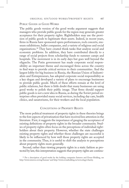# PUBLIC GOODS AS GOOD WORKS

The public goods version of the good works argument suggests that managers who provide public goods for the region may generate greater acceptance for their property rights. Rightholders may use the provision of public goods to legitimate their assets. Indeed, in recent years, firms in Russia have sponsored opera performances, rock concerts, museum exhibitions, ballet companies, and a variety of religious and social organizations.26 They have created think tanks that analyze social and economic problems. In addition, they have contributed directly to a range of social projects from scholarship funds to summer camps and hospitals. The movement is in its early days but goes well beyond the oligarchs. The Putin government has made corporate social responsibility an important theme and encouraged firms across the country to find ways to provide critical services to their communities. And the largest lobby for big business in Russia, the Russian Union of Industrialists and Entrepreneurs, has adopted corporate social responsibility as a key slogan and developed a variety of plans to encourage businesses to provide public goods. Much of these efforts remain at the level of public relations, but there is little doubt that many businesses are using good works to polish their public image. That firms should support public goods is not a new idea in Russia, as during the Soviet period enterprises often provided many social services, including day care, health clinics, and sanatoriums, for their workers and the local population.

# CONCEPTIONS OF PROPERTY RIGHTS

The more political treatment of property rights in these theories brings to the fore aspects of privatization that have received less attention in the literature. First, it suggests the importance of gauging the acceptance of existing definitions of property rights in the broader community. Studies of property rights often focus on the perceptions of individual rightholders about their property. However, whether the state challenges existing property rights and whether those challenges are successful is likely to be influenced by how well those property rights are accepted in the community. Thus, it is useful to shift the analysis to perceptions about property rights more generally.

Second, rather than viewing property rights in a static fashion as protected by law, this interpretation suggests that property rights are continu-

<sup>&</sup>lt;sup>26</sup> For a description of good works by the holding companies Interros and Evraz-Holding, see http://www.interros.ru/eng/human/ and http://www.evrazholding.ru/ru/ecology/charity.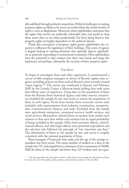ally redefined through political competition. Political challenges to existing property rights are likely to be more successful where the initial transfer of rights is seen as illegitimate. Moreover, when rightholders anticipate that the rights they receive are politically vulnerable, they may prefer to strip these assets than to use them productively. Far from being fixed in law, property rights are highly dependent on the political climate.

Third, this conception of property rights grants rightholders the capacity to influence the legitimacy of their holdings. This sense of agency is largely lacking in existing literature that typically depicts rightholders as passively responding to institutional constraints. Here rightholders have the potential to take matters into their own hands and shape the legitimacy and perhaps, ultimately, the security of their property rights.

### THE DATA

To begin to investigate these and other arguments, I commissioned a survey of 660 company managers in eleven of Russia's eighty-nine regions, including at least one from each of Russia's seven recently created "super-regions."27 The survey was conducted in January and February 2005 by the Levada Center, a Moscow-based polling firm with more than fifteen years of experience. Using data on the population of firms from the Russian State Statistical Agency and other sources, researchers stratified the sample by size and sector to mirror the population of firms in each region. Firms from twenty-three economic sectors were included, with representation from industry, construction, transportation, communications, finance, and trade. Excluded from the sample were agricultural enterprises, communal services, health services, and social services. Researchers selected firms at random from within each stratum so that each firm within each stratum had an equal probability of being included in the sample. Only chief executive officers, chief financial officers, and chief legal officers were potential respondents and the selection rule followed the principle of "one interview, one firm." The distribution of firms in the sample by size and sector is roughly consistent with the national population of firms.

Most managers (79 percent) were male, and the age of the average respondent was forty-seven. The mean number of workers in a firm in the sample was 727, and ranged from a minimum of 4 to a maximum of 70,000. Half the firms in the sample had fewer than 125 workers and one-quar-

<sup>&</sup>lt;sup>27</sup> See the appendixes for descriptive statistics of the firms in the sample, the distribution of firms by sector, the text of the public goods question, and descriptive statistics of the variables.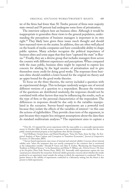ter of the firms had fewer than 50. Twelve percent of firms were majority state-owned and 59 percent had undergone some form of privatization.

The interview subjects here are business elites. Although it would be inappropriate to generalize these views to the general population, understanding the perceptions of business managers is important in its own right.28 They likely have given these issues much thought and should have reasoned views on the matter. In addition, they are often well placed on the boards of media companies and have considerable ability to shape public opinion. Many scholars recognize the political importance of business elites and some argue that they have "captured the state" in Russia.29 Finally, they are a diverse group that includes managers from across the country with different experiences and perceptions. When compared with the mass public, business elites might be expected to express less concern for abiding by the legal niceties of privatization and to give themselves more credit for doing good works. The responses from business elites should establish a lower bound for the original sin theory and an upper bound for the good works theories.

To focus on the three theories, the survey included a question with an experimental design. This technique randomly assigns one of several different versions of a question to a respondent. Because the versions of the questions are distributed randomly, the responses should not be correlated with other factors that may be influencing the results, such as the type of firm or the personal characteristics of the respondent. The differences in responses should be due only to the variables manipulated in the scenarios. Survey-based experiments are a powerful tool because they isolate the effects of the variables of interest—in this case the actions of rightholders. They provide clean tests of the argument, in part because they require less stringent assumptions about the data than do standard multivariate analyses.30 The experiment aims to capture a

<sup>28</sup> Frye (fn. 13) repeated the survey experiment with the mass public in a nationally representative survey in October 2006. In both surveys, responses to the manipulations were similar, but the mass public viewed privatized property as less legitimate than did the managers.

29 Joel Hellman, Geraint Jones, and Daniel Kaufmann, "Seize the State, Seize the Day: An Empirical Analysis of State Capture and Corruption in Transition Economies," *Journal of Comparative Economics* 31 (December 2003).

30 Survey-based experiments raise issues of internal and external validity. Concerns about internal validity arise "when the treatment does not exactly correspond to the construct that is envisioned as the independent variable." Donald P. Green and Alan S. Gerber, "Reclaiming the Experimental Tradition in Political Science," in Ira Katznelson and Helen V. Milner, eds., *Political Science: The State of the Discipline* (New York: Norton Press, 2002), 811. Internally valid experiments capture the true causal process claimed by the researcher. External validity generates concerns about whether the results produced in an experiment travel outside the setting in which the experiment is conducted. This is a greater threat to the validity of experiments conducted in a laboratory setting, but the threat is also present in field experiments.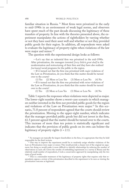familiar situation in Russia. 31 Most firms were privatized in the early to mid-1990s in an environment of weak legal norms, and observers have spent much of the past decade discussing the legitimacy of these transfers of property. In line with the theories presented above, the experiment manipulates the actions of rightholders by varying whether or not they have used their asset well and whether or not they provided public goods for their region. In addition, all respondents were asked to evaluate the legitimacy of property rights when violations of the law were major and minor.<sup>32</sup>

The question with the experimental design looks as follows:

—Let's say that an industrial firm was privatized in the mid-1990s. After privatization, the managers invested *[very little/a great deal]* in the modernization and restructuring of their firm and they have also realized *[no/many]* social programs for the public in the region.

—If it turned out that the firm was privatized with *major* violations of the Law on Privatization, do you think that this matter should be turned over to the courts?

(1) Yes (2) More or Less Yes (3) More or Less No (4) No —If it turned out that the firm was privatized with *minor* violations of the Law on Privatization, do you think that this matter should be turned over to the courts?

(1) Yes (2) More or Less Yes (3) More or Less No (4) No

Table 1 reports the responses when violations were depicted as major. The lower-right number shows a worst-case scenario in which managers neither invested in the firm nor provided public goods for the region and violations of the Law on Privatization were major.<sup>33</sup> In this scenario, 71.8 percent of respondents agreed that the courts should review the privatization. Moving to the upper-right number, which indicates that the manager provided public goods but did not invest in the firm, 61.5 percent agreed that the matter should be turned over to the courts. This increase of more than ten points is statistically significant and indicates that the provision of public goods on its own can bolster the legitimacy of property rights  $(t = 2.1)$ .

<sup>31</sup> As managers are typically the largest shareholders in the firm, it is appropriate that they be held responsible for the firm's actions.

 $32$  One way to improve the experiment would be to randomly assign whether violations of the Law on Privatization were major or minor. This would provide a cleaner test of the original sin argument, but doing so would make it more difficult to identify relationships by reducing the number of observations in each cell. Given the novelty of embedding experiments in a survey in Russia and the relatively small number of respondents, I took a conservative approach by manipulating only the two types of good works.

<sup>33</sup> This is a minimalist treatment of the legitimacy of property rights that requires only that respondents oppose a review of the privatization described in the experiment to be seen as viewing the privatization outcome as legitimate.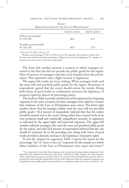|                                            | Good Use of Asset | Bad Use of Asset |
|--------------------------------------------|-------------------|------------------|
| Public goods provided<br>$N = 150, 148$    | 48.0              | 61.5             |
| No public goods provided<br>$N = 145, 149$ | 69.0              | 71.8             |
|                                            |                   |                  |

TABLE 1 MAJOR VIOLATIONS OF THE LAW ON PRIVATIZATION<sup>a</sup>

ANOVA test:  $f(3, 603) = 3.61$ , p< .01

a Numbers are percentage of "Yes" or "More or Less Yes' responses. Yes responses indicate that the state court should review the privatization. Higher scores mean less legitimacy. N = number of responses for each version of the survey experiment.

The lower-left number presents a scenario in which managers invested in the firm but did not provide any public goods for the region. Here 69 percent of managers said that court should review the privatization. This represents only a slight increase in legitimacy.

The upper-left results are more striking. When managers both used the asset well and provided public goods for the region, 48 percent of respondents agreed that the courts should review the matter. Doing both forms of good works in combination increases the legitimacy of property rights by almost 24 percentage points.

The results in Table 2 provide a further test of the argument by comparing responses to the same scenarios, but here managers were asked to consider that violations of the Law on Privatization were minor. The lower-right number shows that the manager neither used the asset well nor provided public goods—36.2 percent of respondents believed that that the matter should be turned over to the courts. Doing either form of good work on its own produced small and statistically insignificant increases in legitimacy as indicated by the upper-right and lower-left responses. The upper-left number indicates managers who used the asset and provided public goods for the region, and only 22.8 percent of respondents believed that the case should be reviewed. As in the preceding case, doing both forms of good works provided a dramatic increase in the legitimacy of property rights.

To test the original sin argument, Table 3 reports the means for the percentage "yes" or "more or less yes" responses for the sample as a whole when violations of the Law on Privatization were major and minor.<sup>34</sup>

<sup>&</sup>lt;sup>34</sup> It is important to note that these responses were not generated using random assignment. Each respondent was asked about both major and minor violations; I simply compare the mean response. These results depend in part on question format. In a survey of the mass public that used the same experiment but also randomly assigned the severity of the violations of law, the original sin argument was insignificant when public goods were provided but was significant when they were not; Frye (fn. 13).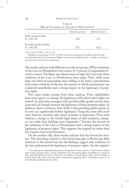|                                            | Good Use of Asset | Bad Use of Asset |
|--------------------------------------------|-------------------|------------------|
| Public goods provided<br>$N = 145, 158$    | 22.8              | 33.5             |
| No public goods provided<br>$N = 148, 152$ | 33.1              | 36.2             |

TABLE 2 MINOR VIOLATIONS OF THE LAW ON PRIVATIZATION<sup>a</sup>

ANOVA test:  $F(3,592)$ , = 7.63, p <.01

a Numbers are percentage of "Yes" or "More or Less Yes' responses Yes indicates that the state court should review the privatization. Higher scores mean less legitimacy.  $N =$  number of responses for each version of the survey experiment.

The results indicate stark differences in the two groups. When violations of the Law on Privatization were minor, 31.5 percent of respondents favored a review. The figure was almost twice as high (62.5 percent) when violations of the Law on Privatization were major. Thus, while more than one-third of respondents were willing to let stand a privatization with major violations of the law, the manner in which privatization was conducted nonetheless had a strong impact on the legitimacy of property rights.

Two main results emerge from these analyses. First, rightholders have some agency to change the legitimacy with which their rights are viewed. In particular, managers who provide public goods *and* use their asset well can sharply increase the legitimacy of their property rights. In addition, there is evidence from Table 1 that providing public goods on its own can significantly bolster legitimacy. Using the asset well on its own, however, provides only minor increases in legitimacy. Thus, even without a change in the formal legal status of their property, managers can make their holdings more legitimate.35 Second, the severity of the violations of the Law on Privatization had a strong impact on the legitimacy of property rights. This supports the original sin rather than the Coasian view of privatization.

On the positive side, these results indicate that the formal law matters. The prevailing wisdom is that businesspeople in Russia pay little attention to the formal law, but the findings suggest that violations of the law undermined the legitimacy of property rights. On the negative

<sup>&</sup>lt;sup>35</sup> In analyzing the individual determinants of responses to these scenarios, I found some evidence that younger managers have a "more conditional" view of property rights controlling for a variety of firm- and individual-level factors. They were more likely to reward "good works" and more likely to punish "bad works" than were their older counterparts, suggesting that a socialization process is at work. Results available from the author.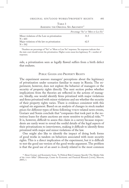| Percentage "Yes" or "More or Less Yes" |
|----------------------------------------|
| 31.5                                   |
| 62.5                                   |
|                                        |

TABLE 3 Assessing the Original Sin Argument<sup>a</sup>

a Numbers are percentage of "Yes" or "More or Less Yes" responses. Yes responses indicate that the state court should review the privatization. Higher scores mean less legitimacy.  $N =$  number of responses.

side, a privatization seen as legally flawed suffers from a birth defect that endures.

# PUBLIC GOODS AND PROPERTY RIGHTS

The experiment assesses managers' perceptions about the legitimacy of privatization under scenarios familiar to many in Russia. The experiment, however, does not explore the behavior of managers or the security of property rights directly. The next section probes whether implications from the theories are reflected in the actions of managers. Ideally, one would identify firms privatized with major violations and firms privatized with minor violations and see whether the security of their property rights varies. There is evidence consistent with this original sin argument. Based on an analysis of changes in stock market prices for different types of firms following YUKOS-related news events, Goriaev and Sonin conclude that "companies that took part in the notorious loans for shares auctions are more sensitive to political risks."36 It is, however, difficult to assess this claim in a survey because respondents are rarely wont to reveal the sordid details of the legal aspects of their privatizations to interviewers, making it difficult to identify firms privatized with major and minor violations of the law.

One might also like to identify the impact of doing both forms of good works in tandem on behaviors associated with more security rights. This is a direct implication of the experiment, but it is difficult to test the good use version of the good works argument. The problem is that the good use of an asset is closely related to the most common

<sup>36</sup> Alexei Goriaev and Konstantin Sonin, "Is Political Risk Company-Specific? The Market Side of the YUKOS Affair" (Manuscript, Center for Economic and Financial Research [CEFIR], Moscow, 2005), 1.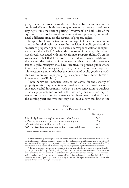proxy for secure property rights—investment. In essence, testing the combined effects of both forms of good works on the security of property rights runs the risks of putting "investment" on both sides of the equation. To assess the good use argument with precision, one would need a different proxy for the security of property rights.<sup>37</sup>

It is possible, however, to examine one aspect of the experiment more directly: the relationship between the provision of public goods and the security of property rights. This analysis corresponds well to the experimental results in Table 1, where the provision of public goods by itself was directly associated with more legitimate property rights. Given the widespread belief that firms were privatized with major violations of the law and the difficulty of demonstrating that one's rights were obtained legally, managers may have incentives to provide public goods to increase the legitimacy and, perhaps, the security of their property.<sup>38</sup> This section examines whether the provision of public goods is associated with more secure property rights as proxied by different forms of investment. (See Table 4.)

Three behavioral measures serve as indicators for the security of property rights. Respondents were asked whether they made a significant new capital investment (such as a major renovation, a purchase of new equipment, and so on) in the last two years; whether they intended to make a significant new capital investment in their firm in the coming year; and whether they had built a new building in the

|                                                                    | Percentage Yes |
|--------------------------------------------------------------------|----------------|
| 1. Made significant new capital investment in last 2 years         | 54.9           |
| 2. Plan significant new capital investment in coming year          | 39.7           |
| 3. Constructed new building in last 2 years                        | 26.4           |
| 4. Provided any type of public good for the region in last 2 years | 71.3           |

TABLE 4 PRIVATE INVESTMENT IN THE FIRM AND PUBLIC GOODS<sup>a</sup>

a See Appendix 4 for wording of question.

<sup>37</sup> More specifically, one might like to estimate a statistical model that regresses a proxy for the security of property rights on a dummy variable for the good use of an asset (proxied here by investment), a dummy variable for public goods provision, and the interaction of these two dummy variables. This specification would require a behavioral proxy for secure property rights other than investment.

<sup>38</sup> Firms privatized with minor violations of the law may also have incentives to provide public goods, given the difficulty of distinguishing firms privatized with minor violations of the law from those privatized with major violations of the law. Thus, firms that provide public goods are not necessarily revealing that their rights were obtained with significant violations of the law. Indeed, they may view the provision of public goods as a costly signal to try to distinguish themselves from those who benefited most from a corrupt privatization.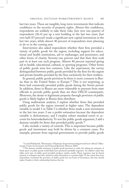last two years. These are tangible, long-term investments that indicate confidence in the security of property rights. Absent this confidence, respondents are unlikely to take these risks. Just over one-quarter of respondents (26.4) put up a new building in the last two years. Just over half (55 percent) made a significant new capital investment in the last two years, while almost 40 percent of respondents were planning to do so in the coming year.

Interviewers also asked respondents whether their firm provided a variety of public goods for the region, including support for educational and health institutions, aid to orphanages and pensioners, and other forms of charity. Seventy-one percent said that their firm took part in at least one such program. Almost 40 percent reported giving aid to health, educational, cultural, or sporting programs. Other forms of public goods were less common. Like the experiment, the survey distinguished between public goods provided by the firm for the region and private benefits provided by the firm exclusively for their workers.

In general, public goods provision by firms is more common in Russia than in the United States or Europe.<sup>39</sup> This is not surprising, as firms had commonly provided public goods during the Soviet period. In addition, firms in Russia are more vulnerable to pressure from state officials to provide public goods than are their OECD counterparts. Moreover, the desire to legitimate property through provision of public goods is likely higher in Russia than elsewhere.

Using multivariate analysis, I explore whether firms that provided public goods for the region invested at higher rates. The dependent variable in model 1 in Table 5 is whether firms made a new investment in the last two years. I use a probit estimation because the dependent variable is dichotomous, and I employ robust standard errors to account for heteroskedasticity. To test the public goods argument, I add a dummy variable for firms that provided public goods.<sup>40</sup>

I also include a variety of controls. This is important because public goods and investment may both be driven by a common cause. For example, pressure from regional governments to provide public goods

<sup>39</sup> Leonid Polishchuk, "Biznesmeny i Filantropy: korporativnaya blagotvoritel'nost v Rossii" (Manuscript, Center for Economic and Financial Research, Moscow, 2005).

<sup>&</sup>lt;sup>40</sup> The dummy variable treatment of public goods provision is crude, but asking for estimates of funds spent on public goods would likely have produced unreliable responses. An additive index that tallies each type of public good provided produces similar results. These responses may be biased upward, as managers may have wanted to paint themselves in a positive light. To the extent that some respondents overstated the provision of public goods but not levels of investment, this bias should make it harder to find a relationship between the two.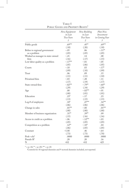|                                  | New Equipment<br>in Last<br>Two Years<br>1 | New Building<br>in Last<br>Two Years<br>2 | Plan New<br>Investment<br>in Coming Year<br>3 |
|----------------------------------|--------------------------------------------|-------------------------------------------|-----------------------------------------------|
|                                  | $.69***$                                   | $.45***$                                  | $.69***$                                      |
| Public goods                     |                                            |                                           |                                               |
|                                  | (.18)<br>$-.05$                            | (.20)<br>.06                              | (.18)                                         |
| Bribes to regional government    | (.05)                                      | (.05)                                     | $-.11**$<br>(.05)                             |
| as a problem                     | $-.21$                                     |                                           | .08                                           |
| Worked as manager in state-owned |                                            | .14                                       |                                               |
| firm                             | (.16)<br>$-.17***$                         | (.17)                                     | (.15)                                         |
| Low labor quality as a problem   |                                            | $-.01$                                    | $-.05$                                        |
|                                  | (.05)                                      | (.06)                                     | (.05)                                         |
| Courts                           | $-.10$                                     | .03                                       | $-.17*$                                       |
|                                  | (.09)                                      | (.10)                                     | (.09)                                         |
| Trust                            | .06                                        | .09                                       | .15                                           |
|                                  | (.11)                                      | (.11)                                     | (.10)                                         |
| Privatized firm                  | $-.03$                                     | $-.28$                                    | $-.11$                                        |
|                                  | (.17)                                      | (.19)                                     | (.17)                                         |
| State-owned firm                 | $-.82***$                                  | $-.79**$                                  | $-.60**$                                      |
|                                  | (.29)                                      | (.34)                                     | (.29)                                         |
| Age                              | .00                                        | $-.02***$                                 | $-.01$                                        |
|                                  | (.00)                                      | (.01)                                     | (.01)                                         |
| Education                        | $.23*$                                     | $-.17$                                    | .23                                           |
|                                  | (.13)                                      | (.15)                                     | (.15)                                         |
| Log # of employees               | $.10*$                                     | $.27***$                                  | $.16***$                                      |
|                                  | (.06)                                      | (.06)                                     | (.06)                                         |
| Change in sales                  | $.01***$                                   | $-.00$                                    | $.01***$                                      |
|                                  | (.00)                                      | (.00)                                     | (.00)                                         |
| Member of business organization  | $.31**$                                    | $.39**$                                   | .09                                           |
|                                  | (.15)                                      | (.16)                                     | (.16)                                         |
| Access to credit as a problem    | $-.06$                                     | $-.12***$                                 | $-.03$                                        |
|                                  | (.05)                                      | (.05)                                     | (.05)                                         |
| Competition as a problem         | $.12**$                                    | $-.10*$                                   | .04                                           |
|                                  | (.06)                                      | (.05)                                     | (.05)                                         |
| Constant                         | $-1.00$                                    | .46                                       | $-.64$                                        |
|                                  | (.73)                                      | (.73)                                     | (.70)                                         |
| Prob > $chi^2$                   | .0000                                      | .0000                                     | .0000                                         |
| Pseudo $R^2$                     | .20                                        | .20                                       | .16                                           |
| N                                | 432                                        | 432                                       | 425                                           |

TABLE 5 PUBLIC GOODS AND PROPERTY RIGHTS<sup>a</sup>

 $* = p < .05; ** = p < .01$ <br>aControls for 10 regional dummies and 9 sectoral dummies included, not reported.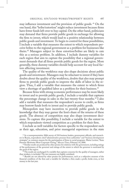may influence investment and the provision of public goods. 41 On the one hand, this "bribe/extortion" might reduce investment because firms have fewer funds left over to buy capital. On the other hand, politicians may demand that firms provide public goods in exchange for allowing the firm to invest, which would lead to a positive relationship between public goods and investment. To begin to control for these possibilities, I include a variable that measures the extent to which respondents perceive bribes to the regional government as a problem for businesses like theirs.42 Managers subject to these extortion/bribes are likely to rate this as a serious problem. In addition, I include dummy variables for each region that aim to capture the possibility that a regional government demands that all firms provide public goods for the region. More generally, these dummy variables should help account for any local factors affecting investment.

The quality of the workforce may also shape decisions about public goods and investment. Managers may be reluctant to invest if they have doubts about the quality of the workforce, doubts that also may prompt firms to provide public goods to improve the skills of labor in the region. Thus, I add a variable that measures the extent to which firms view a shortage of qualified labor as a problem for their business.<sup>43</sup>

Because firms with strong economic performance may be more likely to invest and to provide public goods, I include a variable that captures the percentage change in sales in the last twenty-four months. $44$ I also add a variable that measures the respondent's access to credit, as firms may borrow funds both to invest and to provide public goods.

Monopolists may have incentives to provide public goods in the knowledge that they may garner the lion's share of the returns of these goods. The absence of competition may also shape investment decisions. To capture this possibility, I include a variable for the extent to which respondents viewed competition as a problem for their firm.

I include as well variables for factors specific to the respondent such as their age, education, and prior managerial experience in the state

 $\overset{\sim}{A}$ 3 The results are unchanged if a variable that captures concerns for the quality of managers, rather than workers, is included. The two measures are highly correlated.

44 Results are not altered by other proxies for performances, such as a subjective measure of the financial condition of the firm and a variable for whether a firm made a profit, broke even, or lost money in the last year.

<sup>41</sup> In a nonrepresentative 2006 survey of 210 business leaders, government officials, and researchers in Russia, respondents cited "administrative pressure from authorities" and "business development strategies" as common reasons for the participation of firms in social programs. Maria Levitov, "State Pressure Motivates Most Corporate Giving," *Moscow Times*, February 14, 2006.

<sup>&</sup>lt;sup>42</sup> Similar results are produced by other proxies for relations with the government, including ratings of the performance of the governor and ratings of the extent to which the governor is motivated by the good of the region.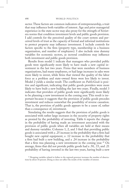sector. These factors are common indicators of entrepreneurship, a trait that may influence both variables of interest. Age and prior managerial experience in the state sector may also proxy for the strength of Sovietera norms that condition investment levels and public goods provision. I add controls for the perceived quality of the court system and perceived levels of trust as the capacity of formal and informal institutions to protect property may influence investment. I include controls for factors specific to the firm (property type, membership in a business organization, and number of employees). I also include nine dummy variables for economic sectors, as sectoral conditions may influence both investment and public goods provision.

Results from model 1 indicate that managers who provided public goods were significantly more likely to have made a new capital investment in the last two years. Firms that were members of business organizations, had many employees, or had large increases in sales were more likely to invest, while firms that viewed the quality of the labor force as a problem and state-owned firms were less likely to invest. Model 2 yields a similar result. The coefficient on *PublicGoods* is positive and significant, indicating that public goods providers were more likely to have built a new building the last two years. Finally, model 3 indicates that providers of public goods were significantly more likely to be planning a new investment in the coming year. This result is important because it suggests that the provision of public goods precedes investment and reduces somewhat the possibility of reverse causation. That is, the provision of public goods appears to be a cause of, rather than a consequence of, investment.

Simulating the results suggests that the provision of public goods is associated with rather large increases in the security of property rights as proxied by the probability of investing. Table 6 reports the change in the probability of having made an investment associated with the provision of public goods when all variables are held at their means and dummy variables. Columns 1, 2, and 3 find that providing public goods is associated with a .25 increase in the probability that a firm had bought new capital equipment, a .12 increase in the probability that a firm had built a new building, and a .24 increase in the probability that a firm was planning a new investment in the coming year. 45 On average, firms that did not provide public goods had a .50, .15, and .21 probability of having invested in the last two years, having built a new

<sup>&</sup>lt;sup>45</sup> Dropping variables related to bribes to the regional governor increases the number of observations by about 10 percent. Doing so does not affect the results of the variables of interest.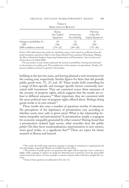| SIMULATION OF RESULTS <sup>a</sup>                            |                                    |                               |                                             |
|---------------------------------------------------------------|------------------------------------|-------------------------------|---------------------------------------------|
|                                                               | Buying<br>New Capital<br>Equipment | Constructing<br>New Building  | Planning<br>to Buy New<br>Capital Equipment |
| Change in probability of<br>(SE)<br>[90% confidence interval] | .24<br>(.06)<br>$[.14 - .33]$      | .12<br>(.05)<br>$[.04 - .20]$ | .25<br>(.06)<br>$[.15-.36]$                 |

TABLE 6

SOURCE: This table reports the results of a simulation using CLARIFY based on coefficients from the probit estimation reported in Table 5; Gary King, Michael Tomz, and Jason Wittenberg, "Making the Most of Statistical Analyses: Improving Interpretation and Presentation," *American Journal of Political Science* 44 (April 2000).

a The top number in each column represents the increase in probability of having invested based on the provision of a public good. The standard error of the estimate is in parentheses. Finally, a 90 percent confidence interval is reported in the brackets.

building in the last two years, and having planned a new investment for the coming year, respectively. Similar figures for firms that did provide public goods were .75, .27, and .45. These results hold controlling for a range of firm-specific and manager-specific factors commonly associated with investment. They are consistent across three measures of the security of property rights, which suggests that the results are robust to different measures.<sup>46</sup> Most important, they are consistent with the more political view of property rights offered above. Perhaps doing goods works is its own reward.47

These results also raise a number of questions worthy of attention. Do perceptions of the legitimacy of privatization vary according to whether assets were sold or given away? What is the relationship between inequality and privatization? Is privatization simply a scapegoat for economic inequality generated by other sources? Having found that a privatization violated legal norms, what remedies does the public prefer? Do they favor renationalization, reprivatization to new owners, more good works, or a significant fine?<sup>48</sup> These are topics for future research in Russia and beyond.

<sup>46</sup> The results also hold using continuous measures of changes in investment in capital goods and new technologies, respectively. Results are available from the author.

<sup>47</sup> The provision of public goods is no guarantee that rights will be respected. YUKOS conducted a highly visible campaign to improve its image but ultimately lost its property. Given the great public enmity toward the owners of YUKOS, perhaps no amount of good works could have changed the outcome.

<sup>48</sup> Some of these questions are addressed in Frye (fn. 13).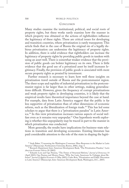#### **CONCLUSION**

Many studies examine the institutional, political, and social roots of property rights, but these works rarely examine how the manner in which property was obtained or the actions of rightholders influence the legitimacy of these rights. These are critical issues for developing and transition countries, where privatization is rarely transparent. This article finds that in the case of Russia the original sin of a legally dubious privatization can undermine the legitimacy of property rights. In addition, there is solid evidence that rightholders can increase the legitimacy of property rights by providing public goods in tandem with using an asset well. There is somewhat weaker evidence that the provision of public goods can bolster legitimacy on its own. There is little evidence that the good use of a privatized asset by itself increases legitimacy. Finally, the provision of public goods is associated with more secure property rights as proxied by investment.

Further research is necessary to learn how well these insights on privatization travel outside of Russia and the postcommunist region. The sheer scope and rapidity of industrial privatization in the postcommunist region is far larger than in other settings, making generalizations difficult. However, given the frequency of corrupt privatizations and weak property rights in developing countries, it is likely that the empirical results have theoretical importance beyond the case at hand. For example, data from Latin America suggest that the public is far less supportive of privatization than of other dimensions of economic reform, such as the liberalization of foreign trade.<sup>49</sup> This has led some scholars to argue that there is a "privatization paradox" in Latin America.50 In this view privatization increases various aspects of social welfare even as it remains very unpopular.<sup>51</sup> One hypothesis worth exploring is whether this unpopularity may be traced in part to the manner in which privatization was conducted.

More generally, the results have implications for business-state relations in transition and developing economies. Existing literature has paid considerable attention to the role of the state in shaping the legiti-

<sup>49</sup> Andy Baker, "Consuming the Washington Consensus: Mass Responses to the Market in Latin America" (Manuscript, Northeastern University, Boston, 2006), chap. 4.

<sup>50</sup> Research Department Inter-American Development Bank, "The Privatization Paradox," *Latin American Economic Policies* 18 (2002).

<sup>51</sup> Eduardo Lora and Ugo Panizza, "The Future of Structural Reform," *Journal of Democracy* 14 (April 2003); Ugo Panizza and Monica Yanez, "Why Are Latin Americans So Unhappy about Reforms?" *Journal of Applied Economics* 8 (May 2005); Carles Boix, "Privatization and Public Discontent in Latin America" (Manuscript, Inter-American Development Bank, Washington, D.C., 2005).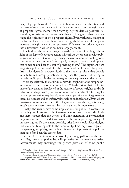macy of property rights. 52 The results here indicate that the state and business elites share the capacity to have an impact on the legitimacy of property rights. Rather than viewing rightholders as passively responding to institutional constraints, this article suggests that they can shape the legitimacy of their property rights. Even without a change in the formal legal status of their property, rightholders can take steps to increase the legitimacy of their property. This result introduces agency into a literature in which it has been largely absent.

The findings also generate insight into the provision of public goods. In light of the logic of collective action, why private actors ever provide public goods is a puzzle. Collectively, managers may prefer more public goods. But because they can be enjoyed by all, managers more strongly prefer that someone else bear the cost of providing them.<sup>53</sup> The argument here suggests a political rationale for the provision of public goods by private firms. This dynamic, however, leads to the irony that firms that benefit initially from a corrupt privatization may face the prospect of having to provide public goods in the future to give some legitimacy to their assets.

More speculatively, the results may provide insights into the disappointing results of privatization in some settings.<sup>54</sup> To the extent that the legitimacy of privatization is reflected in the security of property rights, the birth defect of an illegitimate privatization may have a similar effect. A legally dubious privatization may lead rightholders to perceive their ill-gotten assets as illegitimate and, therefore, vulnerable to political attack. Even where privatizations are not reversed, the illegitimacy of rights may, ultimately, impair economic performance. This, too, is a topic for more research.

Finally, the results have some implications for policy. In contrast to the policy implications of the Coasian view of privatization, the findings here suggest that the design and implementation of privatization programs are important determinants of the subsequent legitimacy of property rights. To the extent possible, privatizers should favor designs that are broadly acceptable to the community. This may involve greater transparency, simplicity, and public discussion of privatization policies than has often been the case to date.

Second, the results suggest a possible, but long, path out of the current illegitimacy trap that bedevils privatization in many countries. Governments may encourage the private provision of some public

<sup>52</sup> Douglass North, *Institutions, Institutional Change and Economic Performance* (New York: Cambridge University Press, 1990).

<sup>53</sup> Mancur Olson, *The Logic of Collective Action* (New Haven: Yale University Press, 1965).

<sup>54</sup> Sergei Guriev and William Megginson, "Privatization: What Have We Learned?" (Paper presented at the Annual Bank Conference on Development Economics, St. Petersburg, 2005).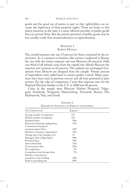#### 502 WORLD POLITICS

goods and the good use of assets, in part so that rightholders can increase the legitimacy of their property rights. There are limits to this policy, however, as the state is a more efficient provider of public goods than are private firms. But the private provision of public goods may be less socially costly than renationalization or reprivatization.

## APPENDIX 1

# SURVEY DETAILS

The overall response rate was 53 percent for firms contacted by the interviewer. As is common in business elite surveys conducted in Russia, the city with the lowest response rate was Moscow (28 percent). Fully one-third of all refusals came from the capital city. Absent Moscow the response rate increases to 62 percent. The analyses are unchanged if responses from Moscow are dropped from the sample. Twenty percent of respondents were called back to ensure quality control. Many questions have been used in previous surveys and all were pretested in pilot surveys. For the sake of comparison, I note that response rates for the National Election Studies in the U.S. in 2000 was 60 percent.

Cities in the sample were Moscow, Nizhnii Nivgorod, Volgograd, Smolensk, Novgorod, Ekaterinburg, Voronezh, Rostov, Ufa, Khabarovsk, Tula, and Omsk.

| Firm Characteristics               | Responses |  |  |  |
|------------------------------------|-----------|--|--|--|
| Average number of employees        | 727       |  |  |  |
| Median number of employee          | 125       |  |  |  |
| Industrial firms                   | 58%       |  |  |  |
| Retail and wholesale trading firms | 15%       |  |  |  |
| Construction/transport/            |           |  |  |  |
| communications firms               | 29%       |  |  |  |
| Members of business organization   | 37%       |  |  |  |
| Average age of the manager (yrs)   | 47        |  |  |  |
| Managers with college degree       | 90%       |  |  |  |
| Privatized firm                    | 59%       |  |  |  |
| State-owned firm                   | 12%       |  |  |  |
| Denovo private firm                | 29%       |  |  |  |
| No competitors                     | 7%        |  |  |  |
| Competition from foreign firms     | 7%        |  |  |  |
| Member of production               |           |  |  |  |
| association, trust, holding        | 24%       |  |  |  |
| Profit in preceding year           | 69%       |  |  |  |

APPENDIX 2 DESCRIPTIVE STATISTICS OF FIRMS IN THE SAMPLES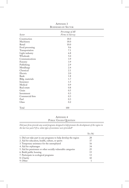| Sector          | Percentage of All<br>Firms in Survey |  |
|-----------------|--------------------------------------|--|
|                 |                                      |  |
| Construction    | 18.0                                 |  |
| Machinery       | 18.0                                 |  |
| Retail          | 10.0                                 |  |
| Food processing | 9.6                                  |  |
| Transportation  | 7.1                                  |  |
| Light industry  | 6.8                                  |  |
| Wholesale       | 5.0                                  |  |
| Communications  | 3.9                                  |  |
| Forestry        | 3.9                                  |  |
| Publishing      | 2.9                                  |  |
| Metallurgy      | 2.4                                  |  |
| Chemical        | 2.1                                  |  |
| Electric        | 2.0                                  |  |
| Bank            | 1.8                                  |  |
| Bldg. materials | 1.7                                  |  |
| Insurance       | 1.5                                  |  |
| Medical         | 0.9                                  |  |
| Real estate     | 0.8                                  |  |
| Grain           | 0.5                                  |  |
| Investment      | 0.3                                  |  |
| Commercial firm | 0.3                                  |  |
| Fuel            | 0.3                                  |  |
| Glass           | 0.2                                  |  |
| Total           | 100                                  |  |

APPENDIX 3 BUSINESSES BY SECTOR

# APPENDIX 4 PUBLIC GOODS QUESTION

*Did your firms provide any social programs designed to help promote the development of the region in the last two years? If so, what types of assistance were provided?*

|                                                                 | Yes $(%)$ |  |
|-----------------------------------------------------------------|-----------|--|
| 1. Did not take part in any programs to help develop the region | 28        |  |
| 2. Aid for education, health, culture, or sports                | 37        |  |
| 3. Temporary assistance for the unemployed                      | 16        |  |
| 4. Aid for orphanages                                           | 34        |  |
| 5. Aid for pensioners or other socially vulnerable categories   | 25        |  |
| 6. Build public housing                                         | 15        |  |
| 7. Participate in ecological programs                           | 13        |  |
| 8. Charity                                                      | 42        |  |
| 9. Other                                                        |           |  |